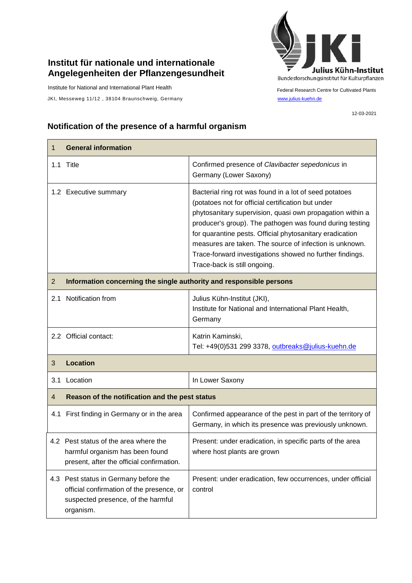## **Institut für nationale und internationale Angelegenheiten der Pflanzengesundheit**

Institute for National and International Plant Health

JKI, Messeweg 11/12, 38104 Braunschweig, Germany [www.julius-kuehn.de](http://www.julius-kuehn.de/)



Federal Research Centre for Cultivated Plants

12-03-2021

## **Notification of the presence of a harmful organism**

| 1              | <b>General information</b>                                                                                                            |                                                                                                                                                                                                                                                                                                                                                                                                                                                          |  |
|----------------|---------------------------------------------------------------------------------------------------------------------------------------|----------------------------------------------------------------------------------------------------------------------------------------------------------------------------------------------------------------------------------------------------------------------------------------------------------------------------------------------------------------------------------------------------------------------------------------------------------|--|
|                | 1.1 Title                                                                                                                             | Confirmed presence of Clavibacter sepedonicus in<br>Germany (Lower Saxony)                                                                                                                                                                                                                                                                                                                                                                               |  |
|                | 1.2 Executive summary                                                                                                                 | Bacterial ring rot was found in a lot of seed potatoes<br>(potatoes not for official certification but under<br>phytosanitary supervision, quasi own propagation within a<br>producer's group). The pathogen was found during testing<br>for quarantine pests. Official phytosanitary eradication<br>measures are taken. The source of infection is unknown.<br>Trace-forward investigations showed no further findings.<br>Trace-back is still ongoing. |  |
| $\overline{2}$ | Information concerning the single authority and responsible persons                                                                   |                                                                                                                                                                                                                                                                                                                                                                                                                                                          |  |
| 2.1            | Notification from                                                                                                                     | Julius Kühn-Institut (JKI),<br>Institute for National and International Plant Health,<br>Germany                                                                                                                                                                                                                                                                                                                                                         |  |
|                | 2.2 Official contact:                                                                                                                 | Katrin Kaminski,<br>Tel: +49(0)531 299 3378, outbreaks@julius-kuehn.de                                                                                                                                                                                                                                                                                                                                                                                   |  |
| 3              | <b>Location</b>                                                                                                                       |                                                                                                                                                                                                                                                                                                                                                                                                                                                          |  |
| 3.1            | Location                                                                                                                              | In Lower Saxony                                                                                                                                                                                                                                                                                                                                                                                                                                          |  |
| 4              | Reason of the notification and the pest status                                                                                        |                                                                                                                                                                                                                                                                                                                                                                                                                                                          |  |
|                | 4.1 First finding in Germany or in the area                                                                                           | Confirmed appearance of the pest in part of the territory of<br>Germany, in which its presence was previously unknown.                                                                                                                                                                                                                                                                                                                                   |  |
|                | 4.2 Pest status of the area where the<br>harmful organism has been found<br>present, after the official confirmation.                 | Present: under eradication, in specific parts of the area<br>where host plants are grown                                                                                                                                                                                                                                                                                                                                                                 |  |
|                | 4.3 Pest status in Germany before the<br>official confirmation of the presence, or<br>suspected presence, of the harmful<br>organism. | Present: under eradication, few occurrences, under official<br>control                                                                                                                                                                                                                                                                                                                                                                                   |  |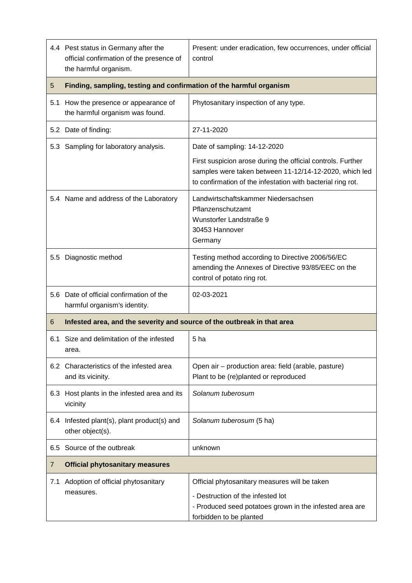|     | 4.4 Pest status in Germany after the<br>official confirmation of the presence of<br>the harmful organism. | Present: under eradication, few occurrences, under official<br>control                                                                                                               |  |
|-----|-----------------------------------------------------------------------------------------------------------|--------------------------------------------------------------------------------------------------------------------------------------------------------------------------------------|--|
| 5   | Finding, sampling, testing and confirmation of the harmful organism                                       |                                                                                                                                                                                      |  |
| 5.1 | How the presence or appearance of<br>the harmful organism was found.                                      | Phytosanitary inspection of any type.                                                                                                                                                |  |
|     | 5.2 Date of finding:                                                                                      | 27-11-2020                                                                                                                                                                           |  |
|     | 5.3 Sampling for laboratory analysis.                                                                     | Date of sampling: 14-12-2020                                                                                                                                                         |  |
|     |                                                                                                           | First suspicion arose during the official controls. Further<br>samples were taken between 11-12/14-12-2020, which led<br>to confirmation of the infestation with bacterial ring rot. |  |
|     | 5.4 Name and address of the Laboratory                                                                    | Landwirtschaftskammer Niedersachsen<br>Pflanzenschutzamt<br>Wunstorfer Landstraße 9<br>30453 Hannover<br>Germany                                                                     |  |
|     | 5.5 Diagnostic method                                                                                     | Testing method according to Directive 2006/56/EC<br>amending the Annexes of Directive 93/85/EEC on the<br>control of potato ring rot.                                                |  |
|     | 5.6 Date of official confirmation of the<br>harmful organism's identity.                                  | 02-03-2021                                                                                                                                                                           |  |
| 6   | Infested area, and the severity and source of the outbreak in that area                                   |                                                                                                                                                                                      |  |
|     | 6.1 Size and delimitation of the infested<br>area.                                                        | 5 ha                                                                                                                                                                                 |  |
|     | 6.2 Characteristics of the infested area<br>and its vicinity.                                             | Open air - production area: field (arable, pasture)<br>Plant to be (re)planted or reproduced                                                                                         |  |
|     | 6.3 Host plants in the infested area and its<br>vicinity                                                  | Solanum tuberosum                                                                                                                                                                    |  |
|     | 6.4 Infested plant(s), plant product(s) and<br>other object(s).                                           | Solanum tuberosum (5 ha)                                                                                                                                                             |  |
| 6.5 | Source of the outbreak                                                                                    | unknown                                                                                                                                                                              |  |
| 7   | <b>Official phytosanitary measures</b>                                                                    |                                                                                                                                                                                      |  |
| 7.1 | Adoption of official phytosanitary<br>measures.                                                           | Official phytosanitary measures will be taken<br>- Destruction of the infested lot<br>- Produced seed potatoes grown in the infested area are<br>forbidden to be planted             |  |